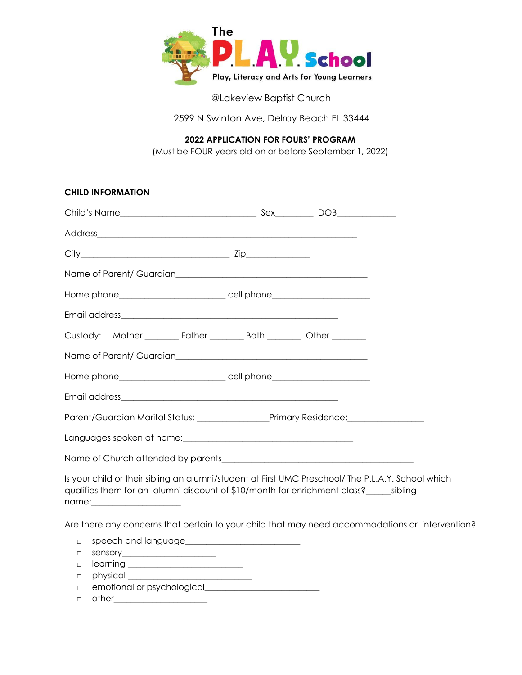

@Lakeview Baptist Church

2599 N Swinton Ave, Delray Beach FL 33444

**2022 APPLICATION FOR FOURS' PROGRAM** 

(Must be FOUR years old on or before September 1, 2022)

| <b>CHILD INFORMATION</b>                                                                           |  |  |
|----------------------------------------------------------------------------------------------------|--|--|
|                                                                                                    |  |  |
|                                                                                                    |  |  |
|                                                                                                    |  |  |
|                                                                                                    |  |  |
|                                                                                                    |  |  |
|                                                                                                    |  |  |
| Custody: Mother _________ Father _________ Both _________ Other ________                           |  |  |
|                                                                                                    |  |  |
|                                                                                                    |  |  |
|                                                                                                    |  |  |
|                                                                                                    |  |  |
|                                                                                                    |  |  |
|                                                                                                    |  |  |
| Is your child or their sibling an alumni/student at First UMC Preschool/ The P.L.A.Y. School which |  |  |

qualifies them for an alumni discount of \$10/month for enrichment class?\_\_\_\_\_\_sibling name:\_\_\_\_\_\_\_\_\_\_\_\_\_\_\_\_\_\_\_\_\_

Are there any concerns that pertain to your child that may need accommodations or intervention?

- □ speech and language\_\_\_\_\_\_\_\_\_\_\_\_\_\_\_\_\_\_\_\_\_\_\_\_\_\_\_
- □ sensory\_\_\_\_\_\_\_\_\_\_\_\_\_\_\_\_\_\_\_\_\_\_
- $\Box$  learning  $\Box$
- □ physical \_\_\_\_\_\_\_\_\_\_\_\_\_\_\_\_\_\_\_\_\_\_\_\_\_\_\_\_\_
- □ emotional or psychological
- □ other\_\_\_\_\_\_\_\_\_\_\_\_\_\_\_\_\_\_\_\_\_\_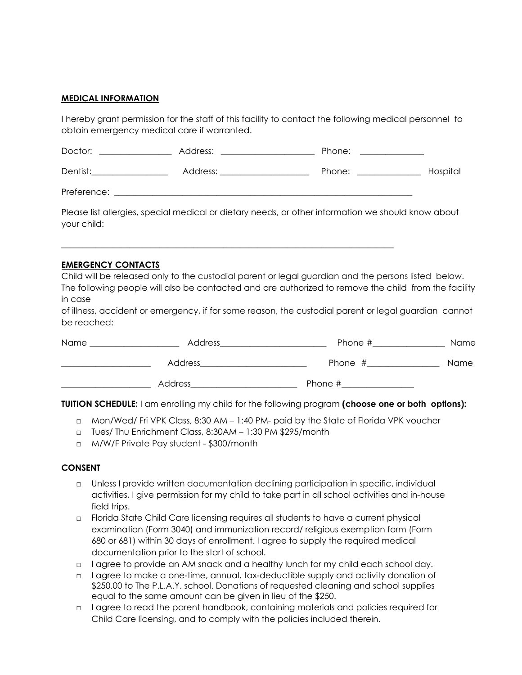## **MEDICAL INFORMATION**

I hereby grant permission for the staff of this facility to contact the following medical personnel to obtain emergency medical care if warranted.

| Doctor:     | Address: | Phone: |          |
|-------------|----------|--------|----------|
| Dentist:    | Address: | Phone: | Hospital |
| Preference: |          |        |          |

Please list allergies, special medical or dietary needs, or other information we should know about your child:

\_\_\_\_\_\_\_\_\_\_\_\_\_\_\_\_\_\_\_\_\_\_\_\_\_\_\_\_\_\_\_\_\_\_\_\_\_\_\_\_\_\_\_\_\_\_\_\_\_\_\_\_\_\_\_\_\_\_\_\_\_\_\_\_\_\_\_\_\_\_\_\_\_\_\_\_\_\_

#### **EMERGENCY CONTACTS**

Child will be released only to the custodial parent or legal guardian and the persons listed below. The following people will also be contacted and are authorized to remove the child from the facility in case

of illness, accident or emergency, if for some reason, the custodial parent or legal guardian cannot be reached:

| Name | Address | Phone # | Name        |
|------|---------|---------|-------------|
|      | Address | Phone # | <b>Name</b> |
|      | Address | Phone # |             |

**TUITION SCHEDULE:** I am enrolling my child for the following program **(choose one or both options):** 

- □ Mon/Wed/ Fri VPK Class, 8:30 AM 1:40 PM- paid by the State of Florida VPK voucher
- □ Tues/ Thu Enrichment Class, 8:30AM 1:30 PM \$295/month
- □ M/W/F Private Pay student \$300/month

#### **CONSENT**

- □ Unless I provide written documentation declining participation in specific, individual activities, I give permission for my child to take part in all school activities and in-house field trips.
- □ Florida State Child Care licensing requires all students to have a current physical examination (Form 3040) and immunization record/ religious exemption form (Form 680 or 681) within 30 days of enrollment. I agree to supply the required medical documentation prior to the start of school.
- □ l agree to provide an AM snack and a healthy lunch for my child each school day.
- □ lagree to make a one-time, annual, tax-deductible supply and activity donation of \$250.00 to The P.L.A.Y. school. Donations of requested cleaning and school supplies equal to the same amount can be given in lieu of the \$250.
- □ I agree to read the parent handbook, containing materials and policies required for Child Care licensing, and to comply with the policies included therein.